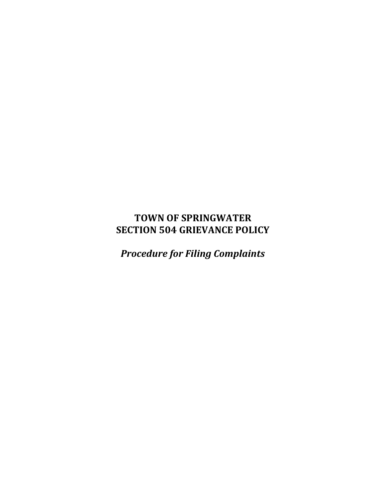## **TOWN OF SPRINGWATER SECTION 504 GRIEVANCE POLICY**

*Procedure for Filing Complaints*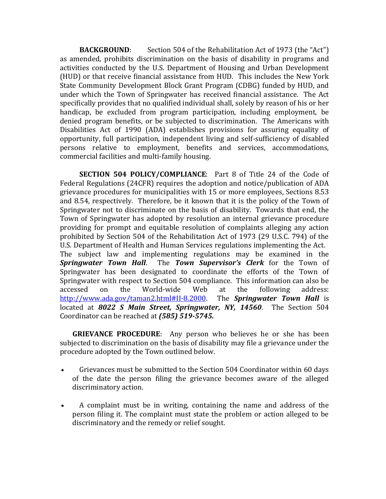**BACKGROUND:** Section 504 of the Rehabilitation Act of 1973 (the "Act") as amended, prohibits discrimination on the basis of disability in programs and activities conducted by the U.S. Department of Housing and Urban Development (HUD) or that receive financial assistance from HUD. This includes the New York State Community Development Block Grant Program (CDBG) funded by HUD, and under which the Town of Springwater has received financial assistance. The Act specifically provides that no qualified individual shall, solely by reason of his or her handicap, be excluded from program participation, including employment, be denied program benefits, or be subjected to discrimination. The Americans with Disabilities Act of 1990 (ADA) establishes provisions for assuring equality of opportunity, full participation, independent living and self-sufficiency of disabled persons relative to employment, benefits and services, accommodations, commercial facilities and multi-family housing.

**SECTION 504 POLICY/COMPLIANCE**: Part 8 of Title 24 of the Code of Federal Regulations (24CFR) requires the adoption and notice/publication of ADA grievance procedures for municipalities with 15 or more employees, Sections 8.53 and 8.54, respectively. Therefore, be it known that it is the policy of the Town of Springwater not to discriminate on the basis of disability. Towards that end, the Town of Springwater has adopted by resolution an internal grievance procedure providing for prompt and equitable resolution of complaints alleging any action prohibited by Section 504 of the Rehabilitation Act of 1973 (29 U.S.C. 794) of the U.S. Department of Health and Human Services regulations implementing the Act. The subject law and implementing regulations may be examined in the *Springwater Town Hall*. The *Town Supervisor's Clerk* for the Town of Springwater has been designated to coordinate the efforts of the Town of Springwater with respect to Section 504 compliance. This information can also be accessed on the World-wide Web at the following address: [http://www.ada.gov/taman2.html#II-8.2000.](http://www.ada.gov/taman2.html#II-8.2000) The *Springwater Town Hall* is located at *8022 S Main Street, Springwater, NY, 14560*. The Section 504 Coordinator can be reached at *(585) 519-5745.*

**GRIEVANCE PROCEDURE**: Any person who believes he or she has been subjected to discrimination on the basis of disability may file a grievance under the procedure adopted by the Town outlined below.

- Grievances must be submitted to the Section 504 Coordinator within 60 days of the date the person filing the grievance becomes aware of the alleged discriminatory action.
- A complaint must be in writing, containing the name and address of the person filing it. The complaint must state the problem or action alleged to be discriminatory and the remedy or relief sought.